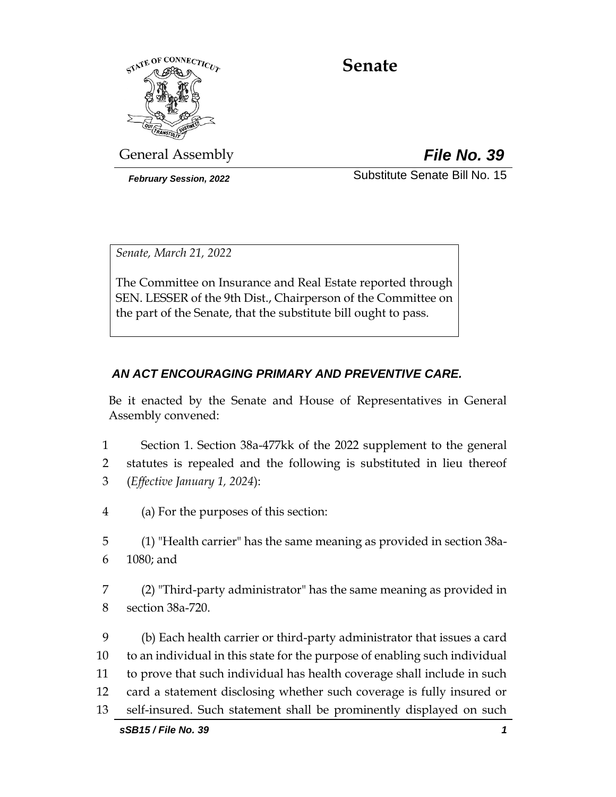

# **Senate**

General Assembly *File No. 39*

*February Session, 2022* Substitute Senate Bill No. 15

*Senate, March 21, 2022*

The Committee on Insurance and Real Estate reported through SEN. LESSER of the 9th Dist., Chairperson of the Committee on the part of the Senate, that the substitute bill ought to pass.

# *AN ACT ENCOURAGING PRIMARY AND PREVENTIVE CARE.*

Be it enacted by the Senate and House of Representatives in General Assembly convened:

- 1 Section 1. Section 38a-477kk of the 2022 supplement to the general 2 statutes is repealed and the following is substituted in lieu thereof 3 (*Effective January 1, 2024*):
- 4 (a) For the purposes of this section:
- 5 (1) "Health carrier" has the same meaning as provided in section 38a-6 1080; and
- 7 (2) "Third-party administrator" has the same meaning as provided in 8 section 38a-720.

 (b) Each health carrier or third-party administrator that issues a card to an individual in this state for the purpose of enabling such individual to prove that such individual has health coverage shall include in such card a statement disclosing whether such coverage is fully insured or self-insured. Such statement shall be prominently displayed on such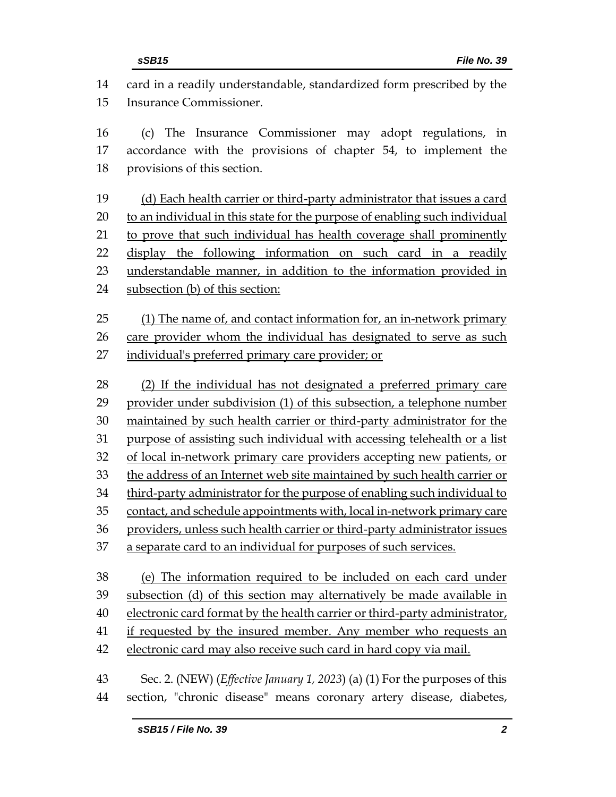card in a readily understandable, standardized form prescribed by the Insurance Commissioner. (c) The Insurance Commissioner may adopt regulations, in accordance with the provisions of chapter 54, to implement the provisions of this section. (d) Each health carrier or third-party administrator that issues a card to an individual in this state for the purpose of enabling such individual to prove that such individual has health coverage shall prominently display the following information on such card in a readily understandable manner, in addition to the information provided in subsection (b) of this section: (1) The name of, and contact information for, an in-network primary care provider whom the individual has designated to serve as such individual's preferred primary care provider; or (2) If the individual has not designated a preferred primary care provider under subdivision (1) of this subsection, a telephone number maintained by such health carrier or third-party administrator for the purpose of assisting such individual with accessing telehealth or a list of local in-network primary care providers accepting new patients, or the address of an Internet web site maintained by such health carrier or third-party administrator for the purpose of enabling such individual to contact, and schedule appointments with, local in-network primary care providers, unless such health carrier or third-party administrator issues a separate card to an individual for purposes of such services. (e) The information required to be included on each card under subsection (d) of this section may alternatively be made available in electronic card format by the health carrier or third-party administrator, if requested by the insured member. Any member who requests an electronic card may also receive such card in hard copy via mail. Sec. 2. (NEW) (*Effective January 1, 2023*) (a) (1) For the purposes of this section, "chronic disease" means coronary artery disease, diabetes,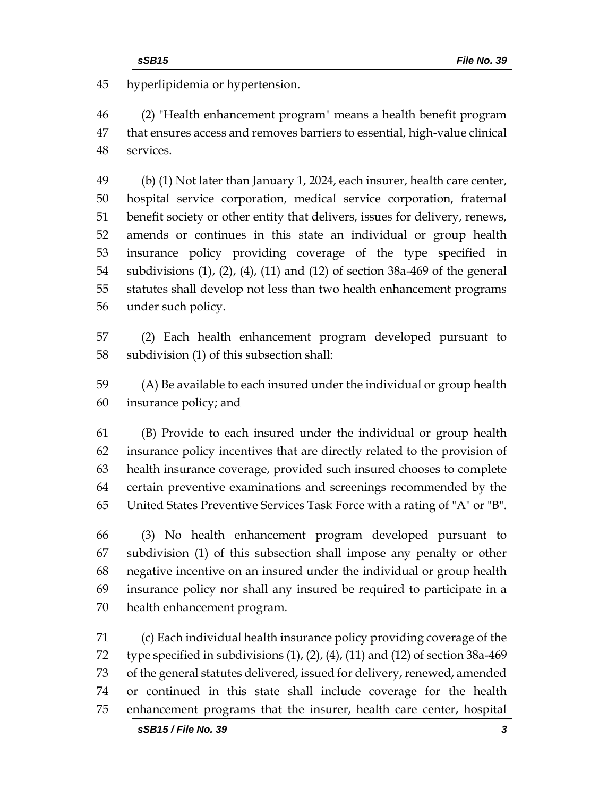hyperlipidemia or hypertension.

 (2) "Health enhancement program" means a health benefit program that ensures access and removes barriers to essential, high-value clinical services.

 (b) (1) Not later than January 1, 2024, each insurer, health care center, hospital service corporation, medical service corporation, fraternal benefit society or other entity that delivers, issues for delivery, renews, amends or continues in this state an individual or group health insurance policy providing coverage of the type specified in subdivisions (1), (2), (4), (11) and (12) of section 38a-469 of the general statutes shall develop not less than two health enhancement programs under such policy.

 (2) Each health enhancement program developed pursuant to subdivision (1) of this subsection shall:

 (A) Be available to each insured under the individual or group health insurance policy; and

 (B) Provide to each insured under the individual or group health insurance policy incentives that are directly related to the provision of health insurance coverage, provided such insured chooses to complete certain preventive examinations and screenings recommended by the United States Preventive Services Task Force with a rating of "A" or "B".

 (3) No health enhancement program developed pursuant to subdivision (1) of this subsection shall impose any penalty or other negative incentive on an insured under the individual or group health insurance policy nor shall any insured be required to participate in a health enhancement program.

 (c) Each individual health insurance policy providing coverage of the 72 type specified in subdivisions  $(1)$ ,  $(2)$ ,  $(4)$ ,  $(11)$  and  $(12)$  of section 38a-469 of the general statutes delivered, issued for delivery, renewed, amended or continued in this state shall include coverage for the health enhancement programs that the insurer, health care center, hospital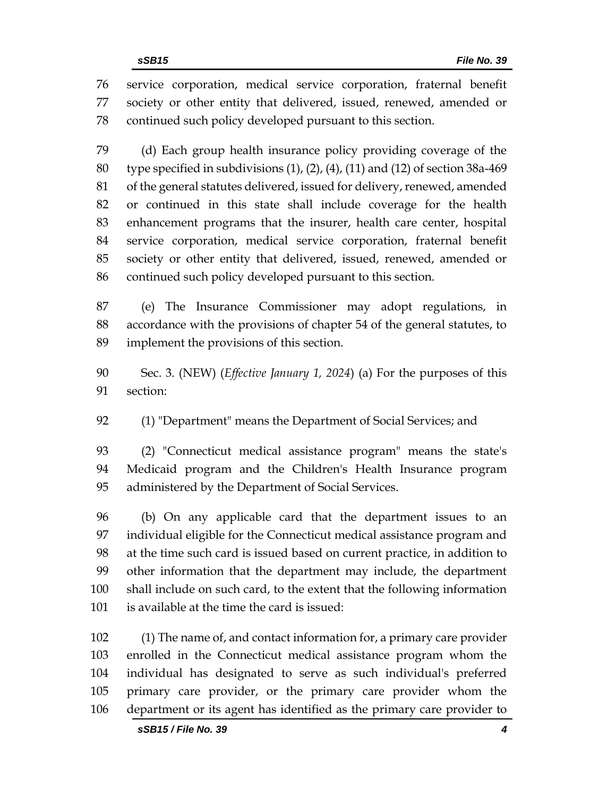service corporation, medical service corporation, fraternal benefit society or other entity that delivered, issued, renewed, amended or continued such policy developed pursuant to this section.

 (d) Each group health insurance policy providing coverage of the type specified in subdivisions (1), (2), (4), (11) and (12) of section 38a-469 of the general statutes delivered, issued for delivery, renewed, amended or continued in this state shall include coverage for the health enhancement programs that the insurer, health care center, hospital service corporation, medical service corporation, fraternal benefit society or other entity that delivered, issued, renewed, amended or continued such policy developed pursuant to this section.

 (e) The Insurance Commissioner may adopt regulations, in accordance with the provisions of chapter 54 of the general statutes, to implement the provisions of this section.

- Sec. 3. (NEW) (*Effective January 1, 2024*) (a) For the purposes of this section:
- (1) "Department" means the Department of Social Services; and

 (2) "Connecticut medical assistance program" means the state's Medicaid program and the Children's Health Insurance program administered by the Department of Social Services.

 (b) On any applicable card that the department issues to an individual eligible for the Connecticut medical assistance program and at the time such card is issued based on current practice, in addition to other information that the department may include, the department shall include on such card, to the extent that the following information is available at the time the card is issued:

 (1) The name of, and contact information for, a primary care provider enrolled in the Connecticut medical assistance program whom the individual has designated to serve as such individual's preferred primary care provider, or the primary care provider whom the department or its agent has identified as the primary care provider to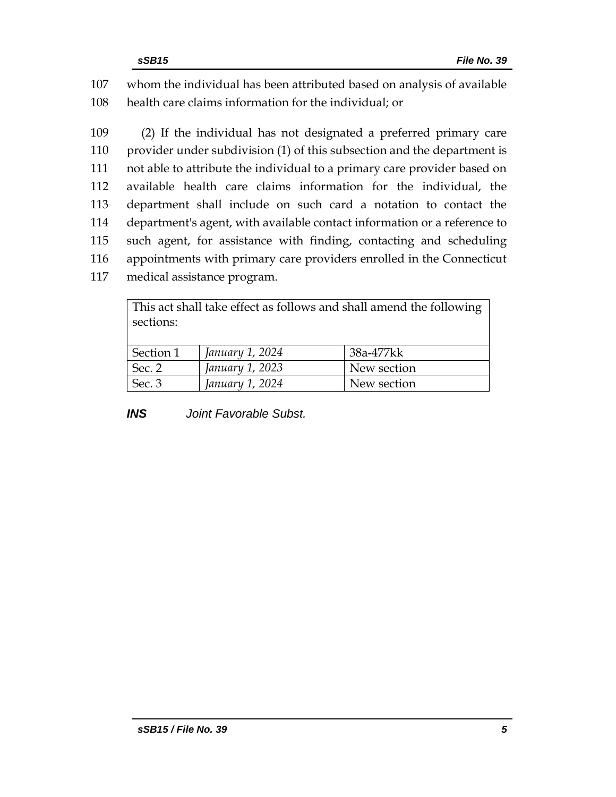107 whom the individual has been attributed based on analysis of available 108 health care claims information for the individual; or

 (2) If the individual has not designated a preferred primary care provider under subdivision (1) of this subsection and the department is not able to attribute the individual to a primary care provider based on available health care claims information for the individual, the department shall include on such card a notation to contact the department's agent, with available contact information or a reference to such agent, for assistance with finding, contacting and scheduling appointments with primary care providers enrolled in the Connecticut medical assistance program.

| This act shall take effect as follows and shall amend the following |                 |             |
|---------------------------------------------------------------------|-----------------|-------------|
| sections:                                                           |                 |             |
|                                                                     |                 |             |
| Section 1                                                           | January 1, 2024 | 38a-477kk   |
| Sec. 2                                                              | January 1, 2023 | New section |
| Sec. 3                                                              | January 1, 2024 | New section |

*INS Joint Favorable Subst.*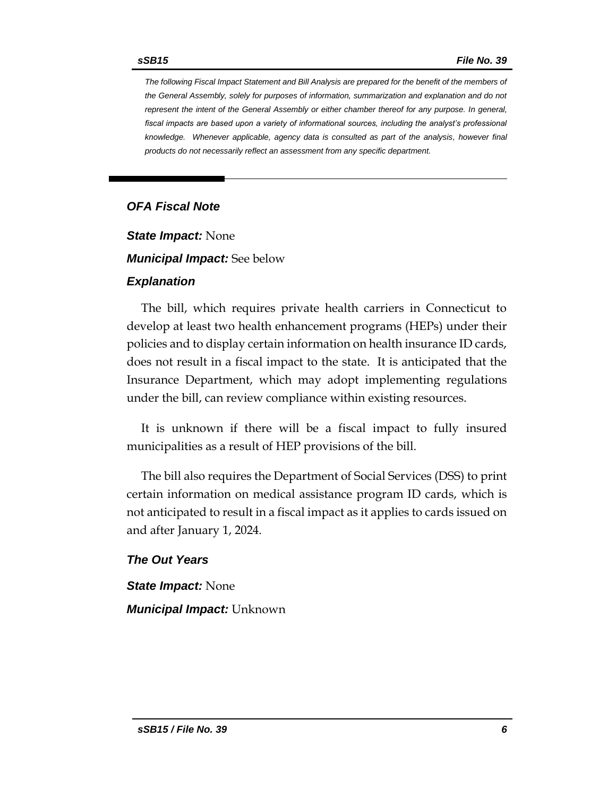*The following Fiscal Impact Statement and Bill Analysis are prepared for the benefit of the members of the General Assembly, solely for purposes of information, summarization and explanation and do not represent the intent of the General Assembly or either chamber thereof for any purpose. In general,*  fiscal impacts are based upon a variety of informational sources, including the analyst's professional *knowledge. Whenever applicable, agency data is consulted as part of the analysis, however final products do not necessarily reflect an assessment from any specific department.*

## *OFA Fiscal Note*

*State Impact:* None

*Municipal Impact:* See below

#### *Explanation*

The bill, which requires private health carriers in Connecticut to develop at least two health enhancement programs (HEPs) under their policies and to display certain information on health insurance ID cards, does not result in a fiscal impact to the state. It is anticipated that the Insurance Department, which may adopt implementing regulations under the bill, can review compliance within existing resources.

It is unknown if there will be a fiscal impact to fully insured municipalities as a result of HEP provisions of the bill.

The bill also requires the Department of Social Services (DSS) to print certain information on medical assistance program ID cards, which is not anticipated to result in a fiscal impact as it applies to cards issued on and after January 1, 2024.

## *The Out Years*

*State Impact:* None *Municipal Impact:* Unknown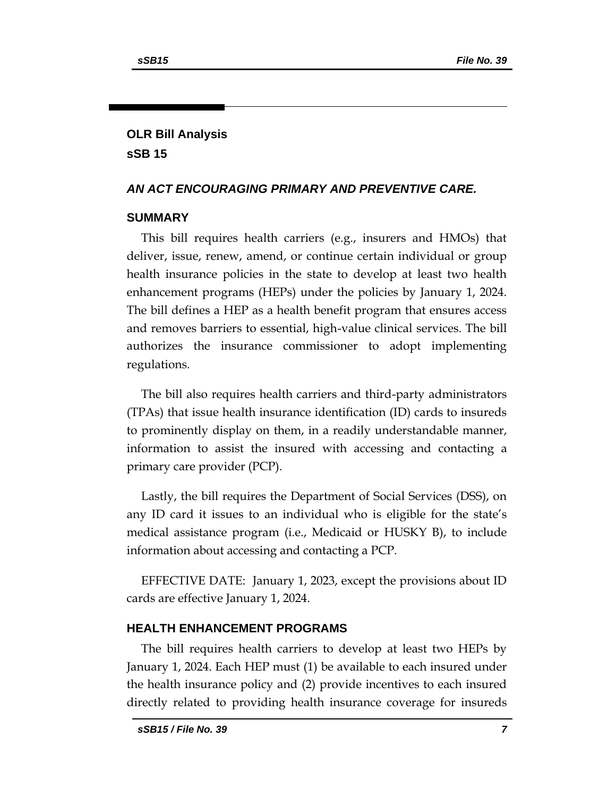# **OLR Bill Analysis sSB 15**

#### *AN ACT ENCOURAGING PRIMARY AND PREVENTIVE CARE.*

#### **SUMMARY**

This bill requires health carriers (e.g., insurers and HMOs) that deliver, issue, renew, amend, or continue certain individual or group health insurance policies in the state to develop at least two health enhancement programs (HEPs) under the policies by January 1, 2024. The bill defines a HEP as a health benefit program that ensures access and removes barriers to essential, high-value clinical services. The bill authorizes the insurance commissioner to adopt implementing regulations.

The bill also requires health carriers and third-party administrators (TPAs) that issue health insurance identification (ID) cards to insureds to prominently display on them, in a readily understandable manner, information to assist the insured with accessing and contacting a primary care provider (PCP).

Lastly, the bill requires the Department of Social Services (DSS), on any ID card it issues to an individual who is eligible for the state's medical assistance program (i.e., Medicaid or HUSKY B), to include information about accessing and contacting a PCP.

EFFECTIVE DATE: January 1, 2023, except the provisions about ID cards are effective January 1, 2024.

#### **HEALTH ENHANCEMENT PROGRAMS**

The bill requires health carriers to develop at least two HEPs by January 1, 2024. Each HEP must (1) be available to each insured under the health insurance policy and (2) provide incentives to each insured directly related to providing health insurance coverage for insureds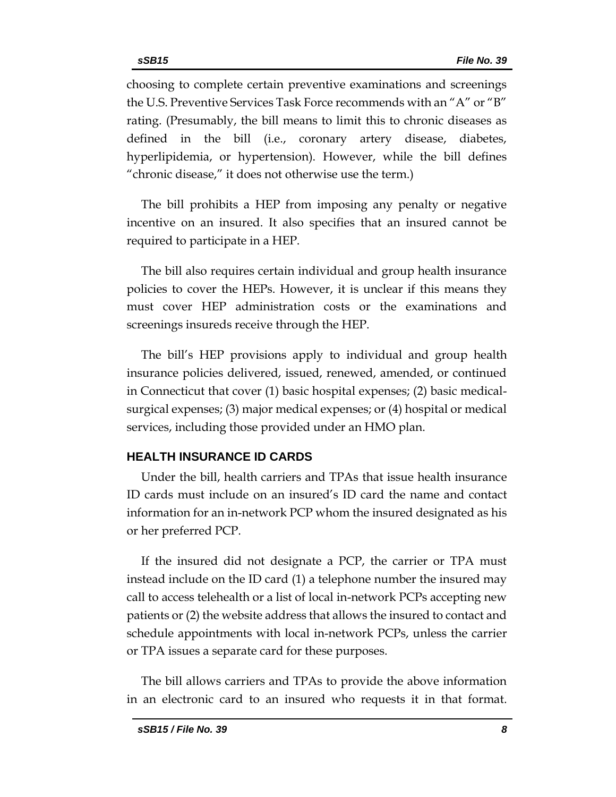choosing to complete certain preventive examinations and screenings the U.S. Preventive Services Task Force recommends with an "A" or "B" rating. (Presumably, the bill means to limit this to chronic diseases as defined in the bill (i.e., coronary artery disease, diabetes, hyperlipidemia, or hypertension). However, while the bill defines "chronic disease," it does not otherwise use the term.)

The bill prohibits a HEP from imposing any penalty or negative incentive on an insured. It also specifies that an insured cannot be required to participate in a HEP.

The bill also requires certain individual and group health insurance policies to cover the HEPs. However, it is unclear if this means they must cover HEP administration costs or the examinations and screenings insureds receive through the HEP.

The bill's HEP provisions apply to individual and group health insurance policies delivered, issued, renewed, amended, or continued in Connecticut that cover (1) basic hospital expenses; (2) basic medicalsurgical expenses; (3) major medical expenses; or (4) hospital or medical services, including those provided under an HMO plan.

#### **HEALTH INSURANCE ID CARDS**

Under the bill, health carriers and TPAs that issue health insurance ID cards must include on an insured's ID card the name and contact information for an in-network PCP whom the insured designated as his or her preferred PCP.

If the insured did not designate a PCP, the carrier or TPA must instead include on the ID card (1) a telephone number the insured may call to access telehealth or a list of local in-network PCPs accepting new patients or (2) the website address that allows the insured to contact and schedule appointments with local in-network PCPs, unless the carrier or TPA issues a separate card for these purposes.

The bill allows carriers and TPAs to provide the above information in an electronic card to an insured who requests it in that format.